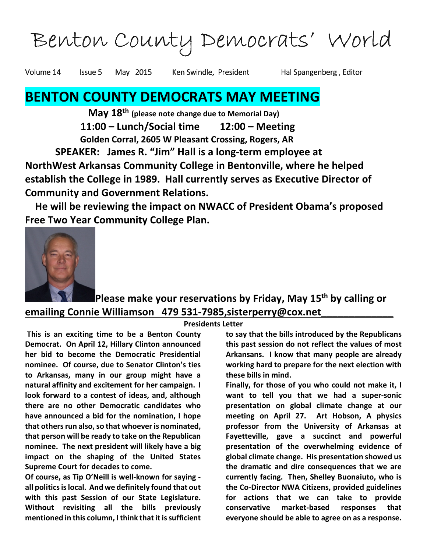Benton County Democrats' World Benton County World

Volume 14 Issue 5 May 2015 Ken Swindle, President Hal Spangenberg, Editor

# BENTON COUNTY DEMOCRATS MAY MEETING

May 18<sup>th</sup> (please note change due to Memorial Day) 11:00 – Lunch/Social time 12:00 – Meeting Golden Corral, 2605 W Pleasant Crossing, Rogers, AR

 SPEAKER: James R. "Jim" Hall is a long-term employee at NorthWest Arkansas Community College in Bentonville, where he helped establish the College in 1989. Hall currently serves as Executive Director of Community and Government Relations.

 He will be reviewing the impact on NWACC of President Obama's proposed Free Two Year Community College Plan.



## Please make your reservations by Friday, May 15<sup>th</sup> by calling or emailing Connie Williamson 479 531-7985, sisterperry@cox.net

#### Presidents Letter

 This is an exciting time to be a Benton County Democrat. On April 12, Hillary Clinton announced her bid to become the Democratic Presidential nominee. Of course, due to Senator Clinton's ties to Arkansas, many in our group might have a natural affinity and excitement for her campaign. I look forward to a contest of ideas, and, although there are no other Democratic candidates who have announced a bid for the nomination, I hope that others run also, so that whoever is nominated, that person will be ready to take on the Republican nominee. The next president will likely have a big impact on the shaping of the United States Supreme Court for decades to come.

Of course, as Tip O'Neill is well-known for saying all politics is local. And we definitely found that out with this past Session of our State Legislature. Without revisiting all the bills previously mentioned in this column, I think that it is sufficient to say that the bills introduced by the Republicans this past session do not reflect the values of most Arkansans. I know that many people are already working hard to prepare for the next election with these bills in mind.

Finally, for those of you who could not make it, I want to tell you that we had a super-sonic presentation on global climate change at our meeting on April 27. Art Hobson, A physics professor from the University of Arkansas at Fayetteville, gave a succinct and powerful presentation of the overwhelming evidence of global climate change. His presentation showed us the dramatic and dire consequences that we are currently facing. Then, Shelley Buonaiuto, who is the Co-Director NWA Citizens, provided guidelines for actions that we can take to provide conservative market-based responses that everyone should be able to agree on as a response.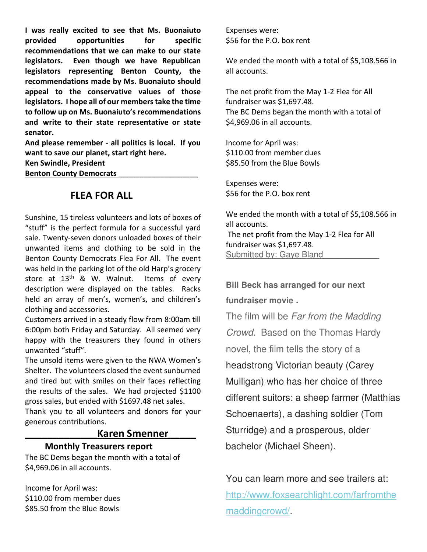I was really excited to see that Ms. Buonaiuto provided opportunities for specific recommendations that we can make to our state legislators. Even though we have Republican legislators representing Benton County, the recommendations made by Ms. Buonaiuto should appeal to the conservative values of those legislators. I hope all of our members take the time to follow up on Ms. Buonaiuto's recommendations and write to their state representative or state senator.

And please remember - all politics is local. If you want to save our planet, start right here.

Ken Swindle, President

Benton County Democrats

#### FLEA FOR ALL

Sunshine, 15 tireless volunteers and lots of boxes of "stuff" is the perfect formula for a successful yard sale. Twenty-seven donors unloaded boxes of their unwanted items and clothing to be sold in the Benton County Democrats Flea For All. The event was held in the parking lot of the old Harp's grocery store at  $13<sup>th</sup>$  & W. Walnut. Items of every description were displayed on the tables. Racks held an array of men's, women's, and children's clothing and accessories.

Customers arrived in a steady flow from 8:00am till 6:00pm both Friday and Saturday. All seemed very happy with the treasurers they found in others unwanted "stuff".

The unsold items were given to the NWA Women's Shelter. The volunteers closed the event sunburned and tired but with smiles on their faces reflecting the results of the sales. We had projected \$1100 gross sales, but ended with \$1697.48 net sales. Thank you to all volunteers and donors for your generous contributions.

#### \_\_\_\_\_\_\_\_\_\_\_\_\_Karen Smenner\_\_\_\_\_

#### Monthly Treasurers report

The BC Dems began the month with a total of \$4,969.06 in all accounts.

Income for April was: \$110.00 from member dues \$85.50 from the Blue Bowls

Expenses were: \$56 for the P.O. box rent

We ended the month with a total of \$5,108.566 in all accounts.

The net profit from the May 1-2 Flea for All fundraiser was \$1,697.48. The BC Dems began the month with a total of \$4,969.06 in all accounts.

Income for April was: \$110.00 from member dues \$85.50 from the Blue Bowls

Expenses were: \$56 for the P.O. box rent

We ended the month with a total of \$5,108.566 in all accounts. The net profit from the May 1-2 Flea for All fundraiser was \$1,697.48. Submitted by: Gaye Bland

**Bill Beck has arranged for our next**

**fundraiser movie .** 

The film will be Far from the Madding Crowd. Based on the Thomas Hardy novel, the film tells the story of a headstrong Victorian beauty (Carey Mulligan) who has her choice of three different suitors: a sheep farmer (Matthias Schoenaerts), a dashing soldier (Tom Sturridge) and a prosperous, older bachelor (Michael Sheen).

You can learn more and see trailers at: http://www.foxsearchlight.com/farfromthe maddingcrowd/.